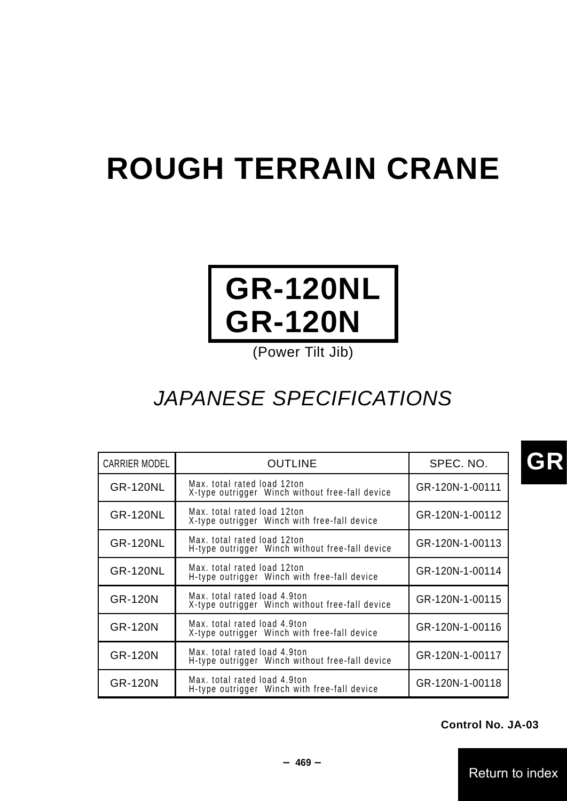# **ROUGH TERRAIN CRANE**



# JAPANESE SPECIFICATIONS

| CARRIER MODEL   | <b>OUTLINE</b>                                                                  | SPEC. NO.       |
|-----------------|---------------------------------------------------------------------------------|-----------------|
| GR-120NL        | Max. total rated load 12ton<br>X-type outrigger Winch without free-fall device  | GR-120N-1-00111 |
| GR-120NL        | Max. total rated load 12ton<br>X-type outrigger Winch with free-fall device     | GR-120N-1-00112 |
| GR-120NL        | Max. total rated load 12ton<br>H-type outrigger Winch without free-fall device  | GR-120N-1-00113 |
| <b>GR-120NL</b> | Max. total rated load 12ton<br>H-type outrigger Winch with free-fall device     | GR-120N-1-00114 |
| GR-120N         | Max, total rated load 4.9ton<br>X-type outrigger Winch without free-fall device | GR-120N-1-00115 |
| GR-120N         | Max. total rated load 4.9ton<br>X-type outrigger Winch with free-fall device    | GR-120N-1-00116 |
| GR-120N         | Max. total rated load 4.9ton<br>H-type outrigger Winch without free-fall device | GR-120N-1-00117 |
| GR-120N         | Max. total rated load 4.9ton<br>H-type outrigger Winch with free-fall device    | GR-120N-1-00118 |

**Control No. JA-03**

Return to index

**GR**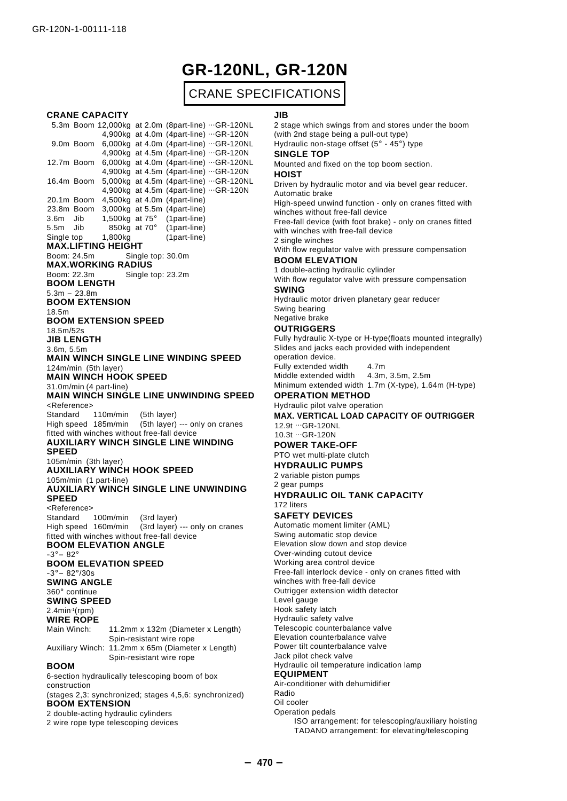# **GR-120NL, GR-120N**

# CRANE SPECIFICATIONS

#### **CRANE CAPACITY**

5.3m Boom 12,000kg at 2.0m (8part-line) ...GR-120NL 4,900kg at 4.0m (4part-line) ...GR-120N 9.0m Boom 6,000kg at 4.0m (4part-line) ...GR-120NL 4,900kg at 4.5m (4part-line) ...GR-120N 12.7m Boom 6,000kg at 4.0m (4part-line) ...GR-120NL 4,900kg at 4.5m (4part-line) ...GR-120N 16.4m Boom 5,000kg at 4.5m (4part-line) ...GR-120NL 4,900kg at 4.5m (4part-line) ...GR-120N 20.1m Boom 4,500kg at 4.0m (4part-line) 23.8m Boom 3,000kg at 5.5m (4part-line) 3.6m Jib 1,500kg at 75° (1part-line) 5.5m Jib 850kg at 70° (1part-line)<br>Single top 1,800kg (1part-line) (1part-line) **MAX.LIFTING HEIGHT** Boom: 24.5m Single top: 30.0m **MAX.WORKING RADIUS** Boom: 22.3m Single top: 23.2m **BOOM LENGTH**  $5.3m - 23.8m$ **BOOM EXTENSION** 18.5m **BOOM EXTENSION SPEED** 18.5m/52s **JIB LENGTH** 3.6m, 5.5m **MAIN WINCH SINGLE LINE WINDING SPEED** 124m/min (5th layer) **MAIN WINCH HOOK SPEED** 31.0m/min (4 part-line) **MAIN WINCH SINGLE LINE UNWINDING SPEED** <Reference> Standard 110m/min (5th layer) High speed 185m/min (5th layer) --- only on cranes fitted with winches without free-fall device **AUXILIARY WINCH SINGLE LINE WINDING SPEED** 105m/min (3th layer) **AUXILIARY WINCH HOOK SPEED** 105m/min (1 part-line) **AUXILIARY WINCH SINGLE LINE UNWINDING SPEED** <Reference> Standard 100m/min (3rd layer) High speed 160m/min (3rd layer) --- only on cranes fitted with winches without free-fall device **BOOM ELEVATION ANGLE**  $-3^\circ - 82^\circ$ **BOOM ELEVATION SPEED**  $-3^{\circ} - 82^{\circ}/30s$ **SWING ANGLE** 360°continue **SWING SPEED**  $2.4$ min-1(rpm) **WIRE ROPE** Main Winch: 11.2mm x 132m (Diameter x Length) Spin-resistant wire rope Auxiliary Winch: 11.2mm x 65m (Diameter x Length) Spin-resistant wire rope **BOOM** 6-section hydraulically telescoping boom of box construction (stages 2,3: synchronized; stages 4,5,6: synchronized) **BOOM EXTENSION** 2 double-acting hydraulic cylinders 2 wire rope type telescoping devices

#### **JIB**

2 stage which swings from and stores under the boom (with 2nd stage being a pull-out type) Hydraulic non-stage offset (5°- 45°) type **SINGLE TOP** Mounted and fixed on the top boom section.

#### **HOIST**

Driven by hydraulic motor and via bevel gear reducer. Automatic brake

High-speed unwind function - only on cranes fitted with winches without free-fall device

Free-fall device (with foot brake) - only on cranes fitted with winches with free-fall device 2 single winches

With flow regulator valve with pressure compensation **BOOM ELEVATION**

1 double-acting hydraulic cylinder With flow regulator valve with pressure compensation

#### **SWING**

Hydraulic motor driven planetary gear reducer Swing bearing Negative brake

### **OUTRIGGERS**

Fully hydraulic X-type or H-type(floats mounted integrally) Slides and jacks each provided with independent operation device. Fully extended width 4.7m Middle extended width 4.3m, 3.5m, 2.5m

Minimum extended width 1.7m (X-type), 1.64m (H-type)

#### **OPERATION METHOD**

Hydraulic pilot valve operation **MAX. VERTICAL LOAD CAPACITY OF OUTRIGGER**

#### 12.9t ...GR-120NL 10.3t ...GR-120N

**POWER TAKE-OFF**

#### PTO wet multi-plate clutch **HYDRAULIC PUMPS**

2 variable piston pumps

2 gear pumps

#### **HYDRAULIC OIL TANK CAPACITY** 172 liters

#### **SAFETY DEVICES**

Automatic moment limiter (AML) Swing automatic stop device Elevation slow down and stop device Over-winding cutout device Working area control device Free-fall interlock device - only on cranes fitted with winches with free-fall device Outrigger extension width detector Level gauge Hook safety latch Hydraulic safety valve Telescopic counterbalance valve Elevation counterbalance valve Power tilt counterbalance valve Jack pilot check valve Hydraulic oil temperature indication lamp **EQUIPMENT** Air-conditioner with dehumidifier Radio Oil cooler Operation pedals

ISO arrangement: for telescoping/auxiliary hoisting TADANO arrangement: for elevating/telescoping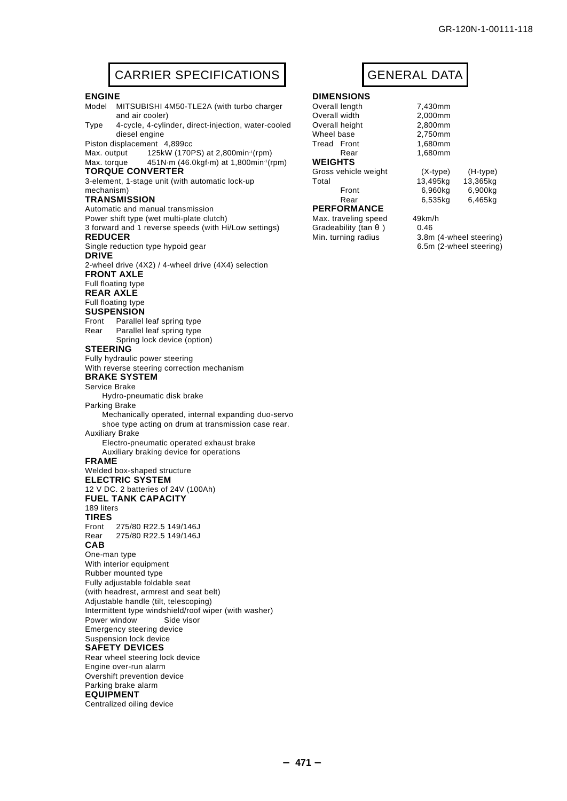6.5m (2-wheel steering)

# CARRIER SPECIFICATIONS | GENERAL DATA

#### **ENGINE**

Model MITSUBISHI 4M50-TLE2A (with turbo charger and air cooler) Type 4-cycle, 4-cylinder, direct-injection, water-cooled

diesel engine Piston displacement 4,899cc Max. output 125kW (170PS) at 2,800min<sup>-1</sup>(rpm)

Max. torque 451N·m (46.0kgf·m) at 1,800min<sup>-1</sup>(rpm) **TORQUE CONVERTER**

3-element, 1-stage unit (with automatic lock-up mechanism)

#### **TRANSMISSION**

Automatic and manual transmission

Power shift type (wet multi-plate clutch)

3 forward and 1 reverse speeds (with Hi/Low settings) **REDUCER**

Single reduction type hypoid gear

#### **DRIVE**

2-wheel drive (4X2) / 4-wheel drive (4X4) selection **FRONT AXLE** Full floating type **REAR AXLE**

### Full floating type

#### **SUSPENSION**

Front Parallel leaf spring type Rear Parallel leaf spring type

Spring lock device (option) **STEERING**

#### Fully hydraulic power steering

With reverse steering correction mechanism

#### **BRAKE SYSTEM**

Service Brake

Hydro-pneumatic disk brake

### Parking Brake

Mechanically operated, internal expanding duo-servo shoe type acting on drum at transmission case rear. Auxiliary Brake

Electro-pneumatic operated exhaust brake

#### Auxiliary braking device for operations

**FRAME**

Welded box-shaped structure

**ELECTRIC SYSTEM** 12 V DC. 2 batteries of 24V (100Ah)

**FUEL TANK CAPACITY**

189 liters

**TIRES** 275/80 R22.5 149/146J Rear 275/80 R22.5 149/146J **CAB**

One-man type With interior equipment Rubber mounted type Fully adjustable foldable seat (with headrest, armrest and seat belt) Adjustable handle (tilt, telescoping) Intermittent type windshield/roof wiper (with washer) Power window Side visor Emergency steering device Suspension lock device **SAFETY DEVICES** Rear wheel steering lock device

#### Engine over-run alarm Overshift prevention device Parking brake alarm **EQUIPMENT**

Centralized oiling device

# **DIMENSIONS**<br>Overall length

| Overall length       | 7,430mm    |            |
|----------------------|------------|------------|
| Overall width        | 2,000mm    |            |
| Overall height       | 2,800mm    |            |
| Wheel base           | 2,750mm    |            |
| Tread Front          | 1.680mm    |            |
| Rear                 | 1,680mm    |            |
| <b>WEIGHTS</b>       |            |            |
| Gross vehicle weight | $(X-type)$ | $(H-type)$ |
| Total                | 13,495kg   | 13,365kg   |
| Front                | 6.960ka    | 6,900kg    |
| Rear                 | 6.535ka    | 6,465kg    |
| <b>PERFORMANCE</b>   |            |            |
| Max. traveling speed | 49km/h     |            |
| Gradeability (tan    | 0.46       |            |
|                      |            |            |

Min. turning radius 3.8m (4-wheel steering)

- **471** -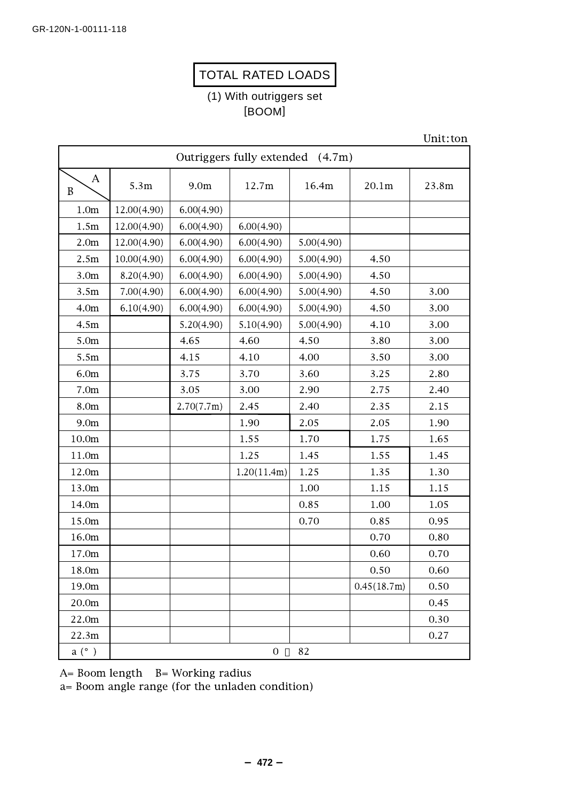# TOTAL RATED LOADS

# (1) With outriggers set [BOOM]

| Outriggers fully extended (4.7m) |             |                  |                |            |             |       |  |  |  |
|----------------------------------|-------------|------------------|----------------|------------|-------------|-------|--|--|--|
| $\mathbf{A}$<br>$\, {\bf B}$     | 5.3m        | 9.0 <sub>m</sub> | 12.7m          | 16.4m      | 20.1m       | 23.8m |  |  |  |
| 1.0 <sub>m</sub>                 | 12.00(4.90) | 6.00(4.90)       |                |            |             |       |  |  |  |
| 1.5m                             | 12.00(4.90) | 6.00(4.90)       | 6.00(4.90)     |            |             |       |  |  |  |
| 2.0 <sub>m</sub>                 | 12.00(4.90) | 6.00(4.90)       | 6.00(4.90)     | 5.00(4.90) |             |       |  |  |  |
| 2.5m                             | 10.00(4.90) | 6.00(4.90)       | 6.00(4.90)     | 5.00(4.90) | 4.50        |       |  |  |  |
| 3.0 <sub>m</sub>                 | 8.20(4.90)  | 6.00(4.90)       | 6.00(4.90)     | 5.00(4.90) | 4.50        |       |  |  |  |
| 3.5m                             | 7.00(4.90)  | 6.00(4.90)       | 6.00(4.90)     | 5.00(4.90) | 4.50        | 3.00  |  |  |  |
| 4.0 <sub>m</sub>                 | 6.10(4.90)  | 6.00(4.90)       | 6.00(4.90)     | 5.00(4.90) | 4.50        | 3.00  |  |  |  |
| 4.5m                             |             | 5.20(4.90)       | 5.10(4.90)     | 5.00(4.90) | 4.10        | 3.00  |  |  |  |
| 5.0m                             |             | 4.65             | 4.60           | 4.50       | 3.80        | 3.00  |  |  |  |
| 5.5m                             |             | 4.15             | 4.10           | 4.00       | 3.50        | 3.00  |  |  |  |
| 6.0m                             |             | 3.75             | 3.70           | 3.60       | 3.25        | 2.80  |  |  |  |
| 7.0 <sub>m</sub>                 |             | 3.05             | 3.00           | 2.90       | 2.75        | 2.40  |  |  |  |
| 8.0m                             |             | 2.70(7.7m)       | 2.45           | 2.40       | 2.35        | 2.15  |  |  |  |
| 9.0 <sub>m</sub>                 |             |                  | 1.90           | 2.05       | 2.05        | 1.90  |  |  |  |
| 10.0m                            |             |                  | 1.55           | 1.70       | 1.75        | 1.65  |  |  |  |
| 11.0m                            |             |                  | 1.25           | 1.45       | 1.55        | 1.45  |  |  |  |
| 12.0m                            |             |                  | 1.20(11.4m)    | 1.25       | 1.35        | 1.30  |  |  |  |
| 13.0m                            |             |                  |                | 1.00       | 1.15        | 1.15  |  |  |  |
| 14.0m                            |             |                  |                | 0.85       | 1.00        | 1.05  |  |  |  |
| 15.0m                            |             |                  |                | 0.70       | 0.85        | 0.95  |  |  |  |
| 16.0m                            |             |                  |                |            | 0.70        | 0.80  |  |  |  |
| 17.0m                            |             |                  |                |            | 0.60        | 0.70  |  |  |  |
| 18.0m                            |             |                  |                |            | 0.50        | 0.60  |  |  |  |
| 19.0m                            |             |                  |                |            | 0.45(18.7m) | 0.50  |  |  |  |
| 20.0m                            |             |                  |                |            |             | 0.45  |  |  |  |
| 22.0m                            |             |                  |                |            |             | 0.30  |  |  |  |
| 22.3m                            |             |                  |                |            |             | 0.27  |  |  |  |
| a (°)                            |             |                  | $\overline{0}$ | 82         |             |       |  |  |  |

A= Boom length B= Working radius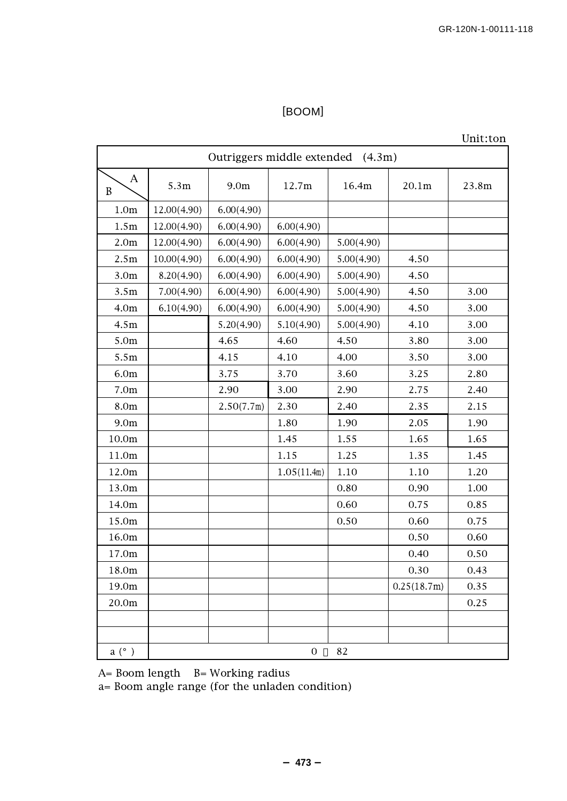Unit:ton

| Outriggers middle extended (4.3m) |             |                  |                |            |             |       |  |  |  |
|-----------------------------------|-------------|------------------|----------------|------------|-------------|-------|--|--|--|
| A<br>$\mathbf B$                  | 5.3m        | 9.0 <sub>m</sub> | 12.7m          | 16.4m      | 20.1m       | 23.8m |  |  |  |
| 1.0 <sub>m</sub>                  | 12.00(4.90) | 6.00(4.90)       |                |            |             |       |  |  |  |
| 1.5m                              | 12.00(4.90) | 6.00(4.90)       | 6.00(4.90)     |            |             |       |  |  |  |
| 2.0 <sub>m</sub>                  | 12.00(4.90) | 6.00(4.90)       | 6.00(4.90)     | 5.00(4.90) |             |       |  |  |  |
| 2.5m                              | 10.00(4.90) | 6.00(4.90)       | 6.00(4.90)     | 5.00(4.90) | 4.50        |       |  |  |  |
| 3.0 <sub>m</sub>                  | 8.20(4.90)  | 6.00(4.90)       | 6.00(4.90)     | 5.00(4.90) | 4.50        |       |  |  |  |
| 3.5m                              | 7.00(4.90)  | 6.00(4.90)       | 6.00(4.90)     | 5.00(4.90) | 4.50        | 3.00  |  |  |  |
| 4.0 <sub>m</sub>                  | 6.10(4.90)  | 6.00(4.90)       | 6.00(4.90)     | 5.00(4.90) | 4.50        | 3.00  |  |  |  |
| 4.5m                              |             | 5.20(4.90)       | 5.10(4.90)     | 5.00(4.90) | 4.10        | 3.00  |  |  |  |
| 5.0m                              |             | 4.65             | 4.60           | 4.50       | 3.80        | 3.00  |  |  |  |
| 5.5m                              |             | 4.15             | 4.10           | 4.00       | 3.50        | 3.00  |  |  |  |
| 6.0m                              |             | 3.75             | 3.70           | 3.60       | 3.25        | 2.80  |  |  |  |
| 7.0 <sub>m</sub>                  |             | 2.90             | 3.00           | 2.90       | 2.75        | 2.40  |  |  |  |
| 8.0m                              |             | 2.50(7.7m)       | 2.30           | 2.40       | 2.35        | 2.15  |  |  |  |
| 9.0 <sub>m</sub>                  |             |                  | 1.80           | 1.90       | 2.05        | 1.90  |  |  |  |
| 10.0m                             |             |                  | 1.45           | 1.55       | 1.65        | 1.65  |  |  |  |
| 11.0m                             |             |                  | 1.15           | 1.25       | 1.35        | 1.45  |  |  |  |
| 12.0m                             |             |                  | 1.05(11.4m)    | 1.10       | 1.10        | 1.20  |  |  |  |
| 13.0m                             |             |                  |                | 0.80       | 0.90        | 1.00  |  |  |  |
| 14.0m                             |             |                  |                | 0.60       | 0.75        | 0.85  |  |  |  |
| 15.0m                             |             |                  |                | 0.50       | 0.60        | 0.75  |  |  |  |
| 16.0m                             |             |                  |                |            | 0.50        | 0.60  |  |  |  |
| 17.0m                             |             |                  |                |            | 0.40        | 0.50  |  |  |  |
| 18.0m                             |             |                  |                |            | 0.30        | 0.43  |  |  |  |
| 19.0m                             |             |                  |                |            | 0.25(18.7m) | 0.35  |  |  |  |
| 20.0m                             |             |                  |                |            |             | 0.25  |  |  |  |
|                                   |             |                  |                |            |             |       |  |  |  |
|                                   |             |                  |                |            |             |       |  |  |  |
| a (°)                             |             |                  | $\overline{0}$ | 82         |             |       |  |  |  |

A= Boom length B= Working radius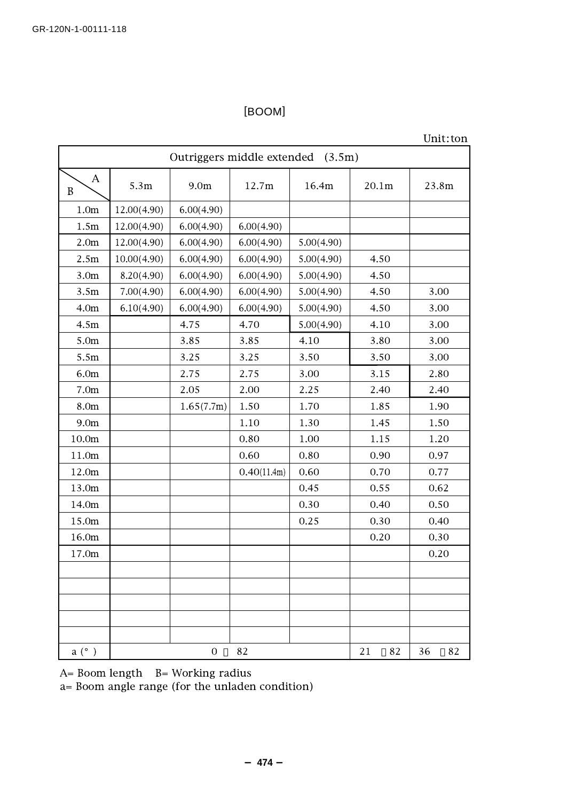### Unit:ton

| Outriggers middle extended (3.5m) |             |                  |             |            |          |          |  |  |  |
|-----------------------------------|-------------|------------------|-------------|------------|----------|----------|--|--|--|
| $\mathbf{A}$<br>$\, {\bf B}$      | 5.3m        | 9.0 <sub>m</sub> | 12.7m       | 16.4m      | 20.1m    | 23.8m    |  |  |  |
| 1.0 <sub>m</sub>                  | 12.00(4.90) | 6.00(4.90)       |             |            |          |          |  |  |  |
| 1.5m                              | 12.00(4.90) | 6.00(4.90)       | 6.00(4.90)  |            |          |          |  |  |  |
| 2.0 <sub>m</sub>                  | 12.00(4.90) | 6.00(4.90)       | 6.00(4.90)  | 5.00(4.90) |          |          |  |  |  |
| 2.5m                              | 10.00(4.90) | 6.00(4.90)       | 6.00(4.90)  | 5.00(4.90) | 4.50     |          |  |  |  |
| 3.0 <sub>m</sub>                  | 8.20(4.90)  | 6.00(4.90)       | 6.00(4.90)  | 5.00(4.90) | 4.50     |          |  |  |  |
| 3.5m                              | 7.00(4.90)  | 6.00(4.90)       | 6.00(4.90)  | 5.00(4.90) | 4.50     | 3.00     |  |  |  |
| 4.0 <sub>m</sub>                  | 6.10(4.90)  | 6.00(4.90)       | 6.00(4.90)  | 5.00(4.90) | 4.50     | 3.00     |  |  |  |
| 4.5m                              |             | 4.75             | 4.70        | 5.00(4.90) | 4.10     | 3.00     |  |  |  |
| 5.0m                              |             | 3.85             | 3.85        | 4.10       | 3.80     | 3.00     |  |  |  |
| 5.5m                              |             | 3.25             | 3.25        | 3.50       | 3.50     | 3.00     |  |  |  |
| 6.0 <sub>m</sub>                  |             | 2.75             | 2.75        | 3.00       | 3.15     | 2.80     |  |  |  |
| 7.0 <sub>m</sub>                  |             | 2.05             | 2.00        | 2.25       | 2.40     | 2.40     |  |  |  |
| 8.0m                              |             | 1.65(7.7m)       | 1.50        | 1.70       | 1.85     | 1.90     |  |  |  |
| 9.0 <sub>m</sub>                  |             |                  | 1.10        | 1.30       | 1.45     | 1.50     |  |  |  |
| 10.0m                             |             |                  | 0.80        | 1.00       | 1.15     | 1.20     |  |  |  |
| 11.0m                             |             |                  | 0.60        | 0.80       | 0.90     | 0.97     |  |  |  |
| 12.0m                             |             |                  | 0.40(11.4m) | 0.60       | 0.70     | 0.77     |  |  |  |
| 13.0m                             |             |                  |             | 0.45       | 0.55     | 0.62     |  |  |  |
| 14.0m                             |             |                  |             | 0.30       | 0.40     | 0.50     |  |  |  |
| 15.0m                             |             |                  |             | 0.25       | 0.30     | 0.40     |  |  |  |
| 16.0m                             |             |                  |             |            | 0.20     | 0.30     |  |  |  |
| 17.0m                             |             |                  |             |            |          | 0.20     |  |  |  |
|                                   |             |                  |             |            |          |          |  |  |  |
|                                   |             |                  |             |            |          |          |  |  |  |
|                                   |             |                  |             |            |          |          |  |  |  |
|                                   |             |                  |             |            |          |          |  |  |  |
|                                   |             |                  |             |            |          |          |  |  |  |
| a (°)                             |             | $\boldsymbol{0}$ | 82          |            | 21<br>82 | 36<br>82 |  |  |  |

A= Boom length B= Working radius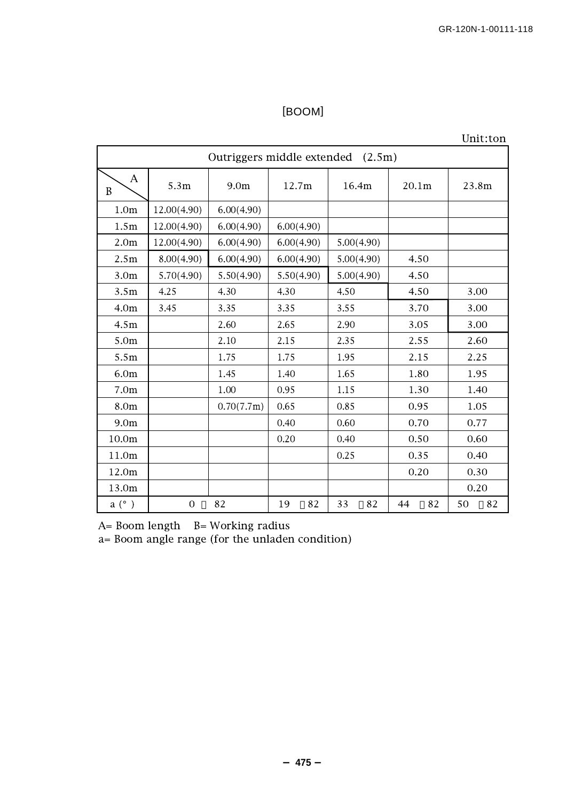Unit:ton

| Outriggers middle extended (2.5m) |                |                                    |            |                   |          |          |  |  |  |
|-----------------------------------|----------------|------------------------------------|------------|-------------------|----------|----------|--|--|--|
| Α<br>$\boldsymbol{B}$             | 5.3m           | 9.0 <sub>m</sub><br>12.7m<br>16.4m |            | 20.1 <sub>m</sub> | 23.8m    |          |  |  |  |
| 1.0 <sub>m</sub>                  | 12.00(4.90)    | 6.00(4.90)                         |            |                   |          |          |  |  |  |
| 1.5m                              | 12.00(4.90)    | 6.00(4.90)                         | 6.00(4.90) |                   |          |          |  |  |  |
| 2.0 <sub>m</sub>                  | 12.00(4.90)    | 6.00(4.90)                         | 6.00(4.90) | 5.00(4.90)        |          |          |  |  |  |
| 2.5m                              | 8.00(4.90)     | 6.00(4.90)                         | 6.00(4.90) | 5.00(4.90)        | 4.50     |          |  |  |  |
| 3.0 <sub>m</sub>                  | 5.70(4.90)     | 5.50(4.90)                         | 5.50(4.90) | 5.00(4.90)        | 4.50     |          |  |  |  |
| 3.5m                              | 4.25           | 4.30                               | 4.30       | 4.50              | 4.50     | 3.00     |  |  |  |
| 4.0 <sub>m</sub>                  | 3.45           | 3.35                               | 3.35       | 3.55              | 3.70     | 3.00     |  |  |  |
| 4.5m                              |                | 2.60                               | 2.65       | 2.90              | 3.05     | 3.00     |  |  |  |
| 5.0 <sub>m</sub>                  |                | 2.10                               | 2.15       | 2.35              | 2.55     | 2.60     |  |  |  |
| 5.5m                              |                | 1.75                               | 1.75       | 1.95              | 2.15     | 2.25     |  |  |  |
| 6.0 <sub>m</sub>                  |                | 1.45                               | 1.40       | 1.65              | 1.80     | 1.95     |  |  |  |
| 7.0 <sub>m</sub>                  |                | 1.00                               | 0.95       | 1.15              | 1.30     | 1.40     |  |  |  |
| 8.0m                              |                | 0.70(7.7m)                         | 0.65       | 0.85              | 0.95     | 1.05     |  |  |  |
| 9.0 <sub>m</sub>                  |                |                                    | 0.40       | 0.60              | 0.70     | 0.77     |  |  |  |
| 10.0m                             |                |                                    | 0.20       | 0.40              | 0.50     | 0.60     |  |  |  |
| 11.0m                             |                |                                    |            | 0.25              | 0.35     | 0.40     |  |  |  |
| 12.0m                             |                |                                    |            |                   | 0.20     | 0.30     |  |  |  |
| 13.0m                             |                |                                    |            |                   |          | 0.20     |  |  |  |
| a (°)                             | $\overline{0}$ | 82                                 | 82<br>19   | 33<br>82          | 44<br>82 | 50<br>82 |  |  |  |

A= Boom length B= Working radius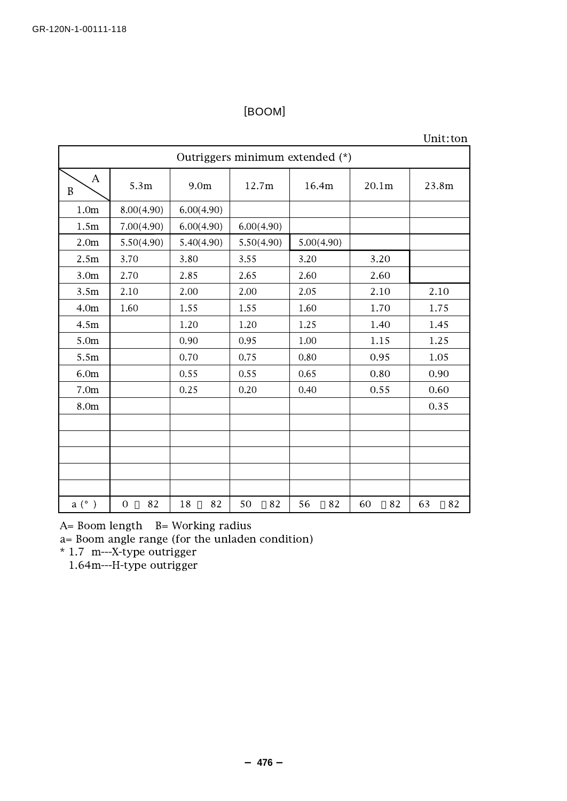### Unit:ton

| Outriggers minimum extended (*) |                   |            |            |            |                   |          |  |  |  |
|---------------------------------|-------------------|------------|------------|------------|-------------------|----------|--|--|--|
| А<br>$\, {\bf B}$               | 5.3m              | 9.0m       | 12.7m      | 16.4m      | 20.1 <sub>m</sub> | 23.8m    |  |  |  |
| 1.0 <sub>m</sub>                | 8.00(4.90)        | 6.00(4.90) |            |            |                   |          |  |  |  |
| 1.5m                            | 7.00(4.90)        | 6.00(4.90) | 6.00(4.90) |            |                   |          |  |  |  |
| 2.0 <sub>m</sub>                | 5.50(4.90)        | 5.40(4.90) | 5.50(4.90) | 5.00(4.90) |                   |          |  |  |  |
| 2.5m                            | 3.70              | 3.80       | 3.55       | 3.20       | 3.20              |          |  |  |  |
| 3.0 <sub>m</sub>                | 2.70              | 2.85       | 2.65       | 2.60       | 2.60              |          |  |  |  |
| 3.5m                            | 2.10              | 2.00       | 2.00       | 2.05       | 2.10              | 2.10     |  |  |  |
| 4.0 <sub>m</sub>                | 1.60              | 1.55       | 1.55       | 1.60       | 1.70              | 1.75     |  |  |  |
| 4.5m                            |                   | 1.20       | 1.20       | 1.25       | 1.40              | 1.45     |  |  |  |
| 5.0 <sub>m</sub>                |                   | 0.90       | 0.95       | $1.00\,$   | 1.15              | 1.25     |  |  |  |
| 5.5m                            |                   | 0.70       | 0.75       | 0.80       | 0.95              | 1.05     |  |  |  |
| 6.0m                            |                   | 0.55       | 0.55       | 0.65       | 0.80              | 0.90     |  |  |  |
| 7.0 <sub>m</sub>                |                   | 0.25       | 0.20       | 0.40       | 0.55              | 0.60     |  |  |  |
| 8.0m                            |                   |            |            |            |                   | 0.35     |  |  |  |
|                                 |                   |            |            |            |                   |          |  |  |  |
|                                 |                   |            |            |            |                   |          |  |  |  |
|                                 |                   |            |            |            |                   |          |  |  |  |
|                                 |                   |            |            |            |                   |          |  |  |  |
|                                 |                   |            |            |            |                   |          |  |  |  |
| a (°)                           | 82<br>$\mathbf 0$ | 18<br>82   | 50<br>82   | 56<br>82   | 82<br>60          | 63<br>82 |  |  |  |

A= Boom length B= Working radius

a= Boom angle range (for the unladen condition)

\* 1.7 m---X-type outrigger

1.64m---H-type outrigger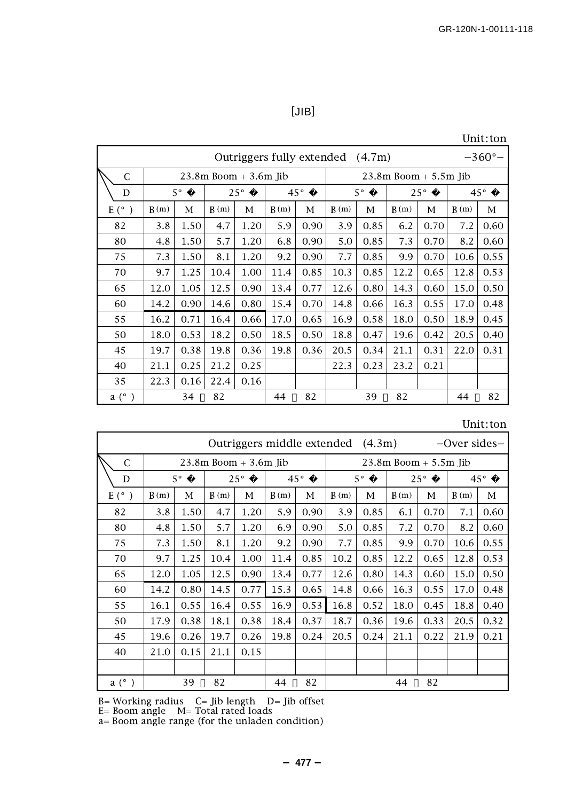## [JIB]

Unit:ton

|               | $-360^{\circ}$ –<br>Outriggers fully extended (4.7m) |             |      |              |              |      |      |             |                           |            |              |      |
|---------------|------------------------------------------------------|-------------|------|--------------|--------------|------|------|-------------|---------------------------|------------|--------------|------|
| $\mathsf{C}$  | $23.8m$ Boom $+3.6m$ Jib                             |             |      |              |              |      |      |             | $23.8m$ Boom $+ 5.5m$ Jib |            |              |      |
| D             |                                                      | $5^{\circ}$ |      | $25^{\circ}$ | $45^{\circ}$ |      |      | $5^{\circ}$ |                           | $25^\circ$ | $45^{\circ}$ |      |
| $E(^{\circ})$ | B(m)                                                 | М           | B(m) | М            | B(m)         | М    | B(m) | М           | B(m)                      | М          | B(m)         | М    |
| 82            | 3.8                                                  | 1.50        | 4.7  | 1.20         | 5.9          | 0.90 | 3.9  | 0.85        | 6.2                       | 0.70       | 7.2          | 0.60 |
| 80            | 4.8                                                  | 1.50        | 5.7  | 1.20         | 6.8          | 0.90 | 5.0  | 0.85        | 7.3                       | 0.70       | 8.2          | 0.60 |
| 75            | 7.3                                                  | 1.50        | 8.1  | 1.20         | 9.2          | 0.90 | 7.7  | 0.85        | 9.9                       | 0.70       | 10.6         | 0.55 |
| 70            | 9.7                                                  | 1.25        | 10.4 | 1.00         | 11.4         | 0.85 | 10.3 | 0.85        | 12.2                      | 0.65       | 12.8         | 0.53 |
| 65            | 12.0                                                 | 1.05        | 12.5 | 0.90         | 13.4         | 0.77 | 12.6 | 0.80        | 14.3                      | 0.60       | 15.0         | 0.50 |
| 60            | 14.2                                                 | 0.90        | 14.6 | 0.80         | 15.4         | 0.70 | 14.8 | 0.66        | 16.3                      | 0.55       | 17.0         | 0.48 |
| 55            | 16.2                                                 | 0.71        | 16.4 | 0.66         | 17.0         | 0.65 | 16.9 | 0.58        | 18.0                      | 0.50       | 18.9         | 0.45 |
| 50            | 18.0                                                 | 0.53        | 18.2 | 0.50         | 18.5         | 0.50 | 18.8 | 0.47        | 19.6                      | 0.42       | 20.5         | 0.40 |
| 45            | 19.7                                                 | 0.38        | 19.8 | 0.36         | 19.8         | 0.36 | 20.5 | 0.34        | 21.1                      | 0.31       | 22.0         | 0.31 |
| 40            | 21.1                                                 | 0.25        | 21.2 | 0.25         |              |      | 22.3 | 0.23        | 23.2                      | 0.21       |              |      |
| 35            | 22.3                                                 | 0.16        | 22.4 | 0.16         |              |      |      |             |                           |            |              |      |
| a (°)         |                                                      | 34          | 82   |              | 44           | 82   |      | 39          | 82                        |            | 44           | 82   |

Unit:ton

| Outriggers middle extended |      |             |                          |              |              |                | (4.3m)      |      |                           |      | -Over sides- |      |
|----------------------------|------|-------------|--------------------------|--------------|--------------|----------------|-------------|------|---------------------------|------|--------------|------|
| $\mathsf{C}$               |      |             | $23.8m$ Boom $+3.6m$ Jib |              |              |                |             |      | $23.8m$ Boom $+ 5.5m$ Jib |      |              |      |
| D                          |      | $5^{\circ}$ |                          | $25^{\circ}$ | $45^{\circ}$ |                | $5^{\circ}$ |      | $25^{\circ}$              |      | $45^{\circ}$ |      |
| $E(\circ)$                 | B(m) | М           | B(m)                     | М            | B(m)         | М              | B(m)        | М    | B(m)                      | М    | B(m)         | М    |
| 82                         | 3.8  | 1.50        | 4.7                      | 1.20         | 5.9          | 0.90           | 3.9         | 0.85 | 6.1                       | 0.70 | 7.1          | 0.60 |
| 80                         | 4.8  | 1.50        | 5.7                      | 1.20         | 6.9          | 0.90           | 5.0         | 0.85 | 7.2                       | 0.70 | 8.2          | 0.60 |
| 75                         | 7.3  | 1.50        | 8.1                      | 1.20         | 9.2          | 0.90           | 7.7         | 0.85 | 9.9                       | 0.70 | 10.6         | 0.55 |
| 70                         | 9.7  | 1.25        | 10.4                     | 1.00         | 11.4         | 0.85           | 10.2        | 0.85 | 12.2                      | 0.65 | 12.8         | 0.53 |
| 65                         | 12.0 | 1.05        | 12.5                     | 0.90         | 13.4         | 0.77           | 12.6        | 0.80 | 14.3                      | 0.60 | 15.0         | 0.50 |
| 60                         | 14.2 | 0.80        | 14.5                     | 0.77         | 15.3         | 0.65           | 14.8        | 0.66 | 16.3                      | 0.55 | 17.0         | 0.48 |
| 55                         | 16.1 | 0.55        | 16.4                     | 0.55         | 16.9         | 0.53           | 16.8        | 0.52 | 18.0                      | 0.45 | 18.8         | 0.40 |
| 50                         | 17.9 | 0.38        | 18.1                     | 0.38         | 18.4         | 0.37           | 18.7        | 0.36 | 19.6                      | 0.33 | 20.5         | 0.32 |
| 45                         | 19.6 | 0.26        | 19.7                     | 0.26         | 19.8         | 0.24           | 20.5        | 0.24 | 21.1                      | 0.22 | 21.9         | 0.21 |
| 40                         | 21.0 | 0.15        | 21.1                     | 0.15         |              |                |             |      |                           |      |              |      |
|                            |      |             |                          |              |              |                |             |      |                           |      |              |      |
| a (°)                      |      | 39          | 82                       |              | 44           | 82<br>82<br>44 |             |      |                           |      |              |      |

B= Working radius C= Jib length D= Jib offset

E= Boom angle M= Total rated loads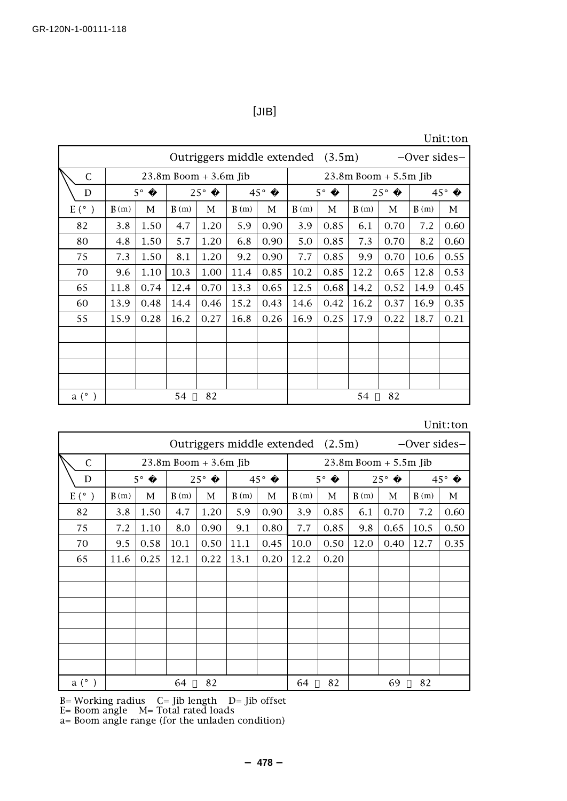[JIB]

|  | Unit:ton |
|--|----------|
|  |          |

| Outriggers middle extended (3.5m) |      |             |                          |              |      |              | $-$ Over sides $-$ |             |              |                           |              |      |
|-----------------------------------|------|-------------|--------------------------|--------------|------|--------------|--------------------|-------------|--------------|---------------------------|--------------|------|
| C                                 |      |             | $23.8m$ Boom $+3.6m$ Jib |              |      |              |                    |             |              | $23.8m$ Boom $+ 5.5m$ Jib |              |      |
| D                                 |      | $5^{\circ}$ |                          | $25^{\circ}$ |      | $45^{\circ}$ |                    | $5^{\circ}$ | $25^{\circ}$ |                           | $45^{\circ}$ |      |
| $E(^{\circ})$                     | B(m) | М           | B(m)                     | М            | B(m) | М            | B(m)               | М           | B(m)         | М                         | B(m)         | М    |
| 82                                | 3.8  | 1.50        | 4.7                      | 1.20         | 5.9  | 0.90         | 3.9                | 0.85        | 6.1          | 0.70                      | 7.2          | 0.60 |
| 80                                | 4.8  | 1.50        | 5.7                      | 1.20         | 6.8  | 0.90         | 5.0                | 0.85        | 7.3          | 0.70                      | 8.2          | 0.60 |
| 75                                | 7.3  | 1.50        | 8.1                      | 1.20         | 9.2  | 0.90         | 7.7                | 0.85        | 9.9          | 0.70                      | 10.6         | 0.55 |
| 70                                | 9.6  | 1.10        | 10.3                     | 1.00         | 11.4 | 0.85         | 10.2               | 0.85        | 12.2         | 0.65                      | 12.8         | 0.53 |
| 65                                | 11.8 | 0.74        | 12.4                     | 0.70         | 13.3 | 0.65         | 12.5               | 0.68        | 14.2         | 0.52                      | 14.9         | 0.45 |
| 60                                | 13.9 | 0.48        | 14.4                     | 0.46         | 15.2 | 0.43         | 14.6               | 0.42        | 16.2         | 0.37                      | 16.9         | 0.35 |
| 55                                | 15.9 | 0.28        | 16.2                     | 0.27         | 16.8 | 0.26         | 16.9               | 0.25        | 17.9         | 0.22                      | 18.7         | 0.21 |
|                                   |      |             |                          |              |      |              |                    |             |              |                           |              |      |
|                                   |      |             |                          |              |      |              |                    |             |              |                           |              |      |
|                                   |      |             |                          |              |      |              |                    |             |              |                           |              |      |
|                                   |      |             |                          |              |      |              |                    |             |              |                           |              |      |
| a (°)                             |      |             | 54                       | 82           |      |              |                    |             | 54           | 82                        |              |      |

| Unit:ton |
|----------|
|----------|

| Outriggers middle extended (2.5m) |                          |             |      |              |      |              |                           |             |      |      | $-$ Over sides $-$ |              |
|-----------------------------------|--------------------------|-------------|------|--------------|------|--------------|---------------------------|-------------|------|------|--------------------|--------------|
| $\mathsf{C}$                      | $23.8m$ Boom $+3.6m$ Jib |             |      |              |      |              | $23.8m$ Boom $+ 5.5m$ Jib |             |      |      |                    |              |
| D                                 |                          | $5^{\circ}$ |      | $25^{\circ}$ |      | $45^{\circ}$ |                           | $5^{\circ}$ |      | 25°  |                    | $45^{\circ}$ |
| $E^{\circ}$ )                     | B(m)                     | М           | B(m) | М            | B(m) | М            | B(m)                      | М           | B(m) | М    | B(m)               | М            |
| 82                                | 3.8                      | 1.50        | 4.7  | 1.20         | 5.9  | 0.90         | 3.9                       | 0.85        | 6.1  | 0.70 | 7.2                | 0.60         |
| 75                                | 7.2                      | 1.10        | 8.0  | 0.90         | 9.1  | 0.80         | 7.7                       | 0.85        | 9.8  | 0.65 | 10.5               | 0.50         |
| 70                                | 9.5                      | 0.58        | 10.1 | 0.50         | 11.1 | 0.45         | 10.0                      | 0.50        | 12.0 | 0.40 | 12.7               | 0.35         |
| 65                                | 11.6                     | 0.25        | 12.1 | 0.22         | 13.1 | 0.20         | 12.2                      | 0.20        |      |      |                    |              |
|                                   |                          |             |      |              |      |              |                           |             |      |      |                    |              |
|                                   |                          |             |      |              |      |              |                           |             |      |      |                    |              |
|                                   |                          |             |      |              |      |              |                           |             |      |      |                    |              |
|                                   |                          |             |      |              |      |              |                           |             |      |      |                    |              |
|                                   |                          |             |      |              |      |              |                           |             |      |      |                    |              |
|                                   |                          |             |      |              |      |              |                           |             |      |      |                    |              |
|                                   |                          |             |      |              |      |              |                           |             |      |      |                    |              |
| $a^{\circ}$ )                     |                          |             | 64   | 82           |      |              | 64                        | 82          |      | 69   | 82                 |              |

B= Working radius C= Jib length D= Jib offset

E= Boom angle M= Total rated loads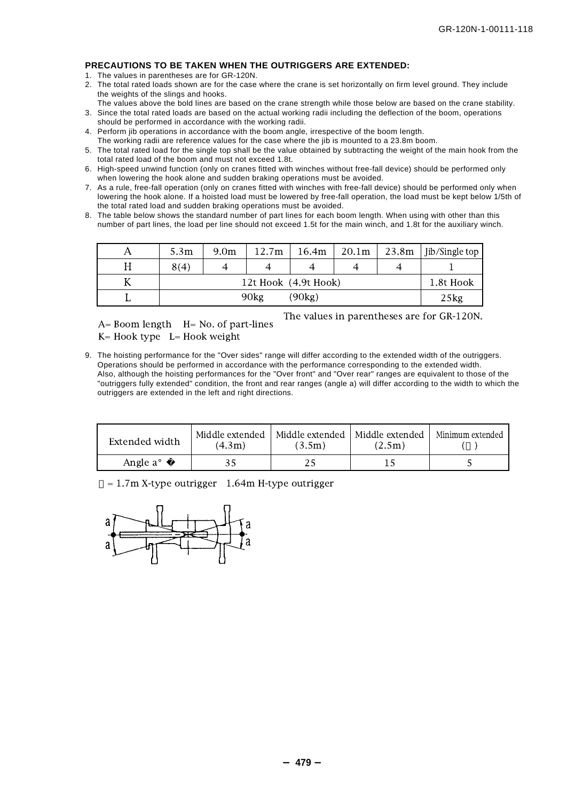#### **PRECAUTIONS TO BE TAKEN WHEN THE OUTRIGGERS ARE EXTENDED:**

- 1. The values in parentheses are for GR-120N.
- 2. The total rated loads shown are for the case where the crane is set horizontally on firm level ground. They include the weights of the slings and hooks.
- The values above the bold lines are based on the crane strength while those below are based on the crane stability.
- 3. Since the total rated loads are based on the actual working radii including the deflection of the boom, operations should be performed in accordance with the working radii.
- 4. Perform jib operations in accordance with the boom angle, irrespective of the boom length.
- The working radii are reference values for the case where the jib is mounted to a 23.8m boom.
- 5. The total rated load for the single top shall be the value obtained by subtracting the weight of the main hook from the total rated load of the boom and must not exceed 1.8t.
- 6. High-speed unwind function (only on cranes fitted with winches without free-fall device) should be performed only when lowering the hook alone and sudden braking operations must be avoided.
- 7. As a rule, free-fall operation (only on cranes fitted with winches with free-fall device) should be performed only when lowering the hook alone. If a hoisted load must be lowered by free-fall operation, the load must be kept below 1/5th of the total rated load and sudden braking operations must be avoided.
- 8. The table below shows the standard number of part lines for each boom length. When using with other than this number of part lines, the load per line should not exceed 1.5t for the main winch, and 1.8t for the auxiliary winch.

| 5.3m                 | 9.0 <sub>m</sub> | 12.7m | 16.4m | 20.1 <sub>m</sub> | 23.8m | Jib/Single top |
|----------------------|------------------|-------|-------|-------------------|-------|----------------|
| 8(4)                 |                  |       |       |                   |       |                |
| 12t Hook (4.9t Hook) |                  |       |       |                   |       | 1.8t Hook      |
| (90kg)<br>90kg       |                  |       |       |                   |       | 25kg           |

 $A=$  Boom length  $H=$  No. of part-lines  $K=$  Hook type  $L=$  Hook weight

The values in parentheses are for GR-120N.

9. The hoisting performance for the "Over sides" range will differ according to the extended width of the outriggers. Operations should be performed in accordance with the performance corresponding to the extended width. Also, although the hoisting performances for the "Over front" and "Over rear" ranges are equivalent to those of the "outriggers fully extended" condition, the front and rear ranges (angle a) will differ according to the width to which the outriggers are extended in the left and right directions.

| Extended width       | Middle extended<br>(4.3m) | Middle extended<br>(3.5m) | Middle extended<br>(2.5m) | Minimum extended |
|----------------------|---------------------------|---------------------------|---------------------------|------------------|
| Angle a <sup>o</sup> |                           |                           |                           |                  |

 $= 1.7$ m X-type outrigger  $1.64$ m H-type outrigger

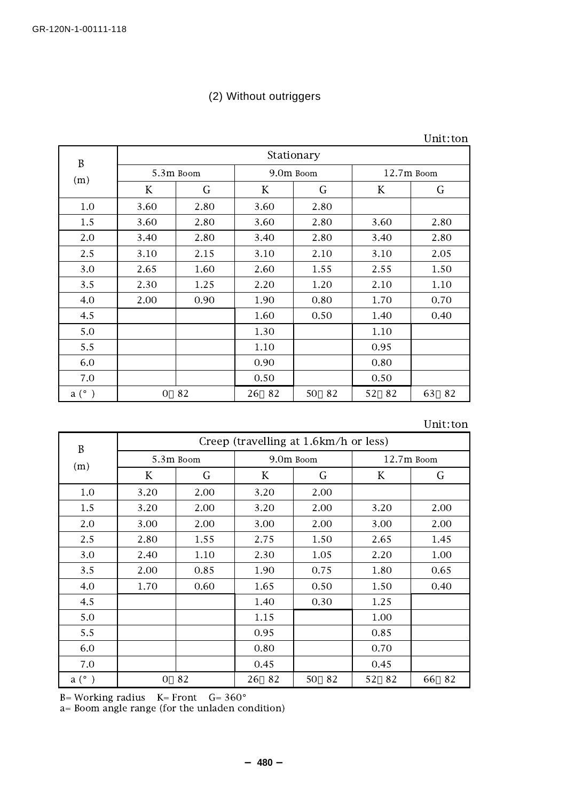# (2) Without outriggers

| B     | Stationary |           |          |           |              |          |  |  |
|-------|------------|-----------|----------|-----------|--------------|----------|--|--|
|       |            | 5.3m Boom |          | 9.0m Boom | $12.7m$ Boom |          |  |  |
| (m)   | K          | G         | K        | G         | K            | G        |  |  |
| 1.0   | 3.60       | 2.80      | 3.60     | 2.80      |              |          |  |  |
| 1.5   | 3.60       | 2.80      | 3.60     | 2.80      | 3.60         | 2.80     |  |  |
| 2.0   | 3.40       | 2.80      | 3.40     | 2.80      | 3.40         | 2.80     |  |  |
| 2.5   | 3.10       | 2.15      | 3.10     | 2.10      | 3.10         | 2.05     |  |  |
| 3.0   | 2.65       | 1.60      | 2.60     | 1.55      | 2.55         | 1.50     |  |  |
| 3.5   | 2.30       | 1.25      | 2.20     | 1.20      | 2.10         | 1.10     |  |  |
| 4.0   | 2.00       | 0.90      | 1.90     | 0.80      | 1.70         | 0.70     |  |  |
| 4.5   |            |           | 1.60     | 0.50      | 1.40         | 0.40     |  |  |
| 5.0   |            |           | 1.30     |           | 1.10         |          |  |  |
| 5.5   |            |           | 1.10     |           | 0.95         |          |  |  |
| 6.0   |            |           | 0.90     |           | 0.80         |          |  |  |
| 7.0   |            |           | 0.50     |           | 0.50         |          |  |  |
| a (°) | 0          | 82        | 82<br>26 | 50<br>82  | 52<br>82     | 63<br>82 |  |  |

| B             | Creep (travelling at 1.6km/h or less) |           |          |           |              |          |  |  |
|---------------|---------------------------------------|-----------|----------|-----------|--------------|----------|--|--|
| (m)           |                                       | 5.3m Boom |          | 9.0m Boom | $12.7m$ Boom |          |  |  |
|               | K                                     | G         | K        | G         | K            | G        |  |  |
| 1.0           | 3.20                                  | 2.00      | 3.20     | 2.00      |              |          |  |  |
| 1.5           | 3.20                                  | 2.00      | 3.20     | 2.00      | 3.20         | 2.00     |  |  |
| 2.0           | 3.00                                  | 2.00      | 3.00     | 2.00      | 3.00         | 2.00     |  |  |
| 2.5           | 2.80                                  | 1.55      | 2.75     | 1.50      | 2.65         | 1.45     |  |  |
| 3.0           | 2.40                                  | 1.10      | 2.30     | 1.05      | 2.20         | 1.00     |  |  |
| 3.5           | 2.00                                  | 0.85      | 1.90     | 0.75      | 1.80         | 0.65     |  |  |
| 4.0           | 1.70                                  | 0.60      | 1.65     | 0.50      | 1.50         | 0.40     |  |  |
| 4.5           |                                       |           | 1.40     | 0.30      | 1.25         |          |  |  |
| 5.0           |                                       |           | 1.15     |           | 1.00         |          |  |  |
| 5.5           |                                       |           | 0.95     |           | 0.85         |          |  |  |
| 6.0           |                                       |           | 0.80     |           | 0.70         |          |  |  |
| 7.0           |                                       |           | 0.45     |           | 0.45         |          |  |  |
| $a(^{\circ})$ | 0                                     | 82        | 82<br>26 | 82<br>50  | 52<br>82     | 66<br>82 |  |  |

B= Working radius K= Front G= 360°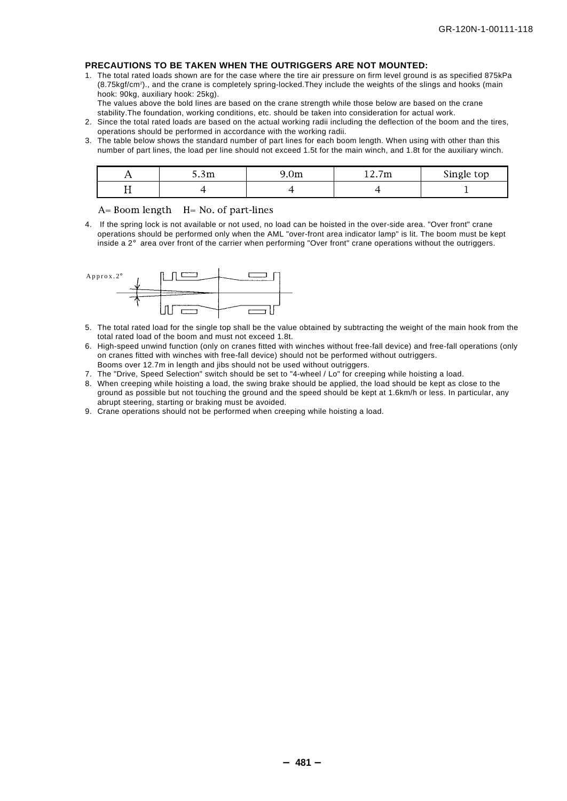#### **PRECAUTIONS TO BE TAKEN WHEN THE OUTRIGGERS ARE NOT MOUNTED:**

1. The total rated loads shown are for the case where the tire air pressure on firm level ground is as specified 875kPa (8.75kgf/cm2 )., and the crane is completely spring-locked.They include the weights of the slings and hooks (main hook: 90kg, auxiliary hook: 25kg).

The values above the bold lines are based on the crane strength while those below are based on the crane stability.The foundation, working conditions, etc. should be taken into consideration for actual work.

- 2. Since the total rated loads are based on the actual working radii including the deflection of the boom and the tires, operations should be performed in accordance with the working radii.
- 3. The table below shows the standard number of part lines for each boom length. When using with other than this number of part lines, the load per line should not exceed 1.5t for the main winch, and 1.8t for the auxiliary winch.

|     | $\sim$<br>J.3m | <b>UIII</b> | -<br><b>SAMP</b><br>14.1 | Single top |
|-----|----------------|-------------|--------------------------|------------|
| . . |                |             |                          |            |

 $A=$  Boom length  $H=$  No. of part-lines

4. If the spring lock is not available or not used, no load can be hoisted in the over-side area. "Over front" crane operations should be performed only when the AML "over-front area indicator lamp" is lit. The boom must be kept inside a 2° area over front of the carrier when performing "Over front" crane operations without the outriggers.



- 5. The total rated load for the single top shall be the value obtained by subtracting the weight of the main hook from the total rated load of the boom and must not exceed 1.8t.
- 6. High-speed unwind function (only on cranes fitted with winches without free-fall device) and free-fall operations (only on cranes fitted with winches with free-fall device) should not be performed without outriggers. Booms over 12.7m in length and jibs should not be used without outriggers.
- 7. The "Drive, Speed Selection" switch should be set to "4-wheel / Lo" for creeping while hoisting a load.
- 8. When creeping while hoisting a load, the swing brake should be applied, the load should be kept as close to the ground as possible but not touching the ground and the speed should be kept at 1.6km/h or less. In particular, any abrupt steering, starting or braking must be avoided.
- 9. Crane operations should not be performed when creeping while hoisting a load.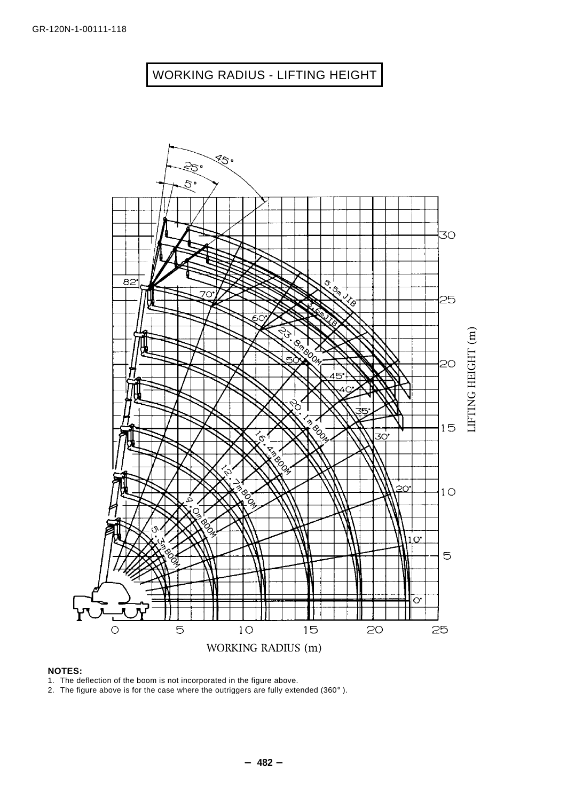# WORKING RADIUS - LIFTING HEIGHT



#### **NOTES:**

1. The deflection of the boom is not incorporated in the figure above.

2. The figure above is for the case where the outriggers are fully extended (360°).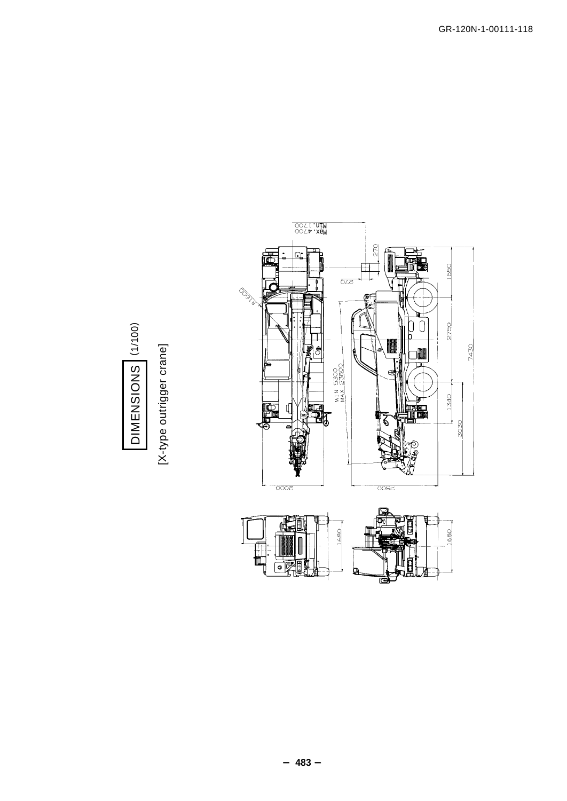

DIMENSIONS (1/100) (001/1) SNOISNINE

[X-type outrigger crane] [X-type outrigger crane]